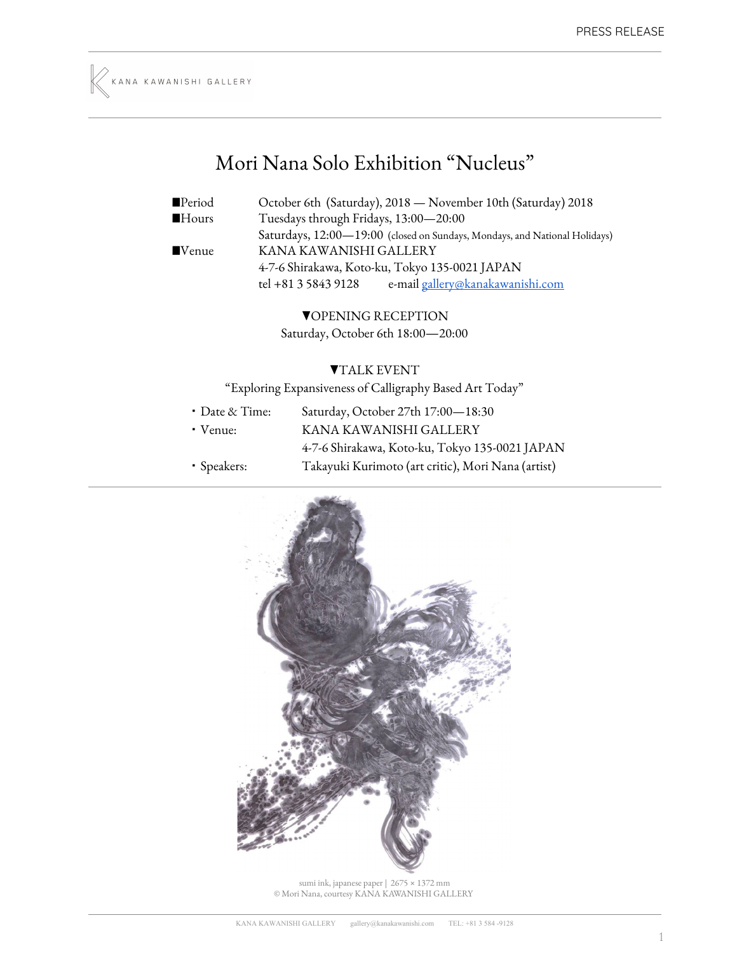

## Mori Nana Solo Exhibition "Nucleus "

| $\blacksquare$ Period | October 6th (Saturday), 2018 - November 10th (Saturday) 2018               |
|-----------------------|----------------------------------------------------------------------------|
| Hours                 | Tuesdays through Fridays, 13:00-20:00                                      |
|                       | Saturdays, 12:00-19:00 (closed on Sundays, Mondays, and National Holidays) |
| ■Venue                | KANA KAWANISHI GALLERY                                                     |
|                       | 4-7-6 Shirakawa, Koto-ku, Tokyo 135-0021 JAPAN                             |
|                       | tel +81 3 5843 9128<br>e-mail gallery@kanakawanishi.com                    |
|                       |                                                                            |

▼OPENING RECEPTION Saturday, October 6th 18:00—20:00

## ▼TALK EVENT

"Exploring Expansiveness of Calligraphy Based Art Today"

・Date & Time: Saturday, October 27th 17:00—18:30 ・Venue: KANA KAWANISHI GALLERY 4-7-6 Shirakawa, Koto-ku, Tokyo 135-0021 JAPAN ・Speakers: Takayuki Kurimoto (art critic), Mori Nana (artist)



sumi ink, japanese paper | 2675 × 1372 mm © Mori Nana, courtesy KANA KAWANISHI GALLERY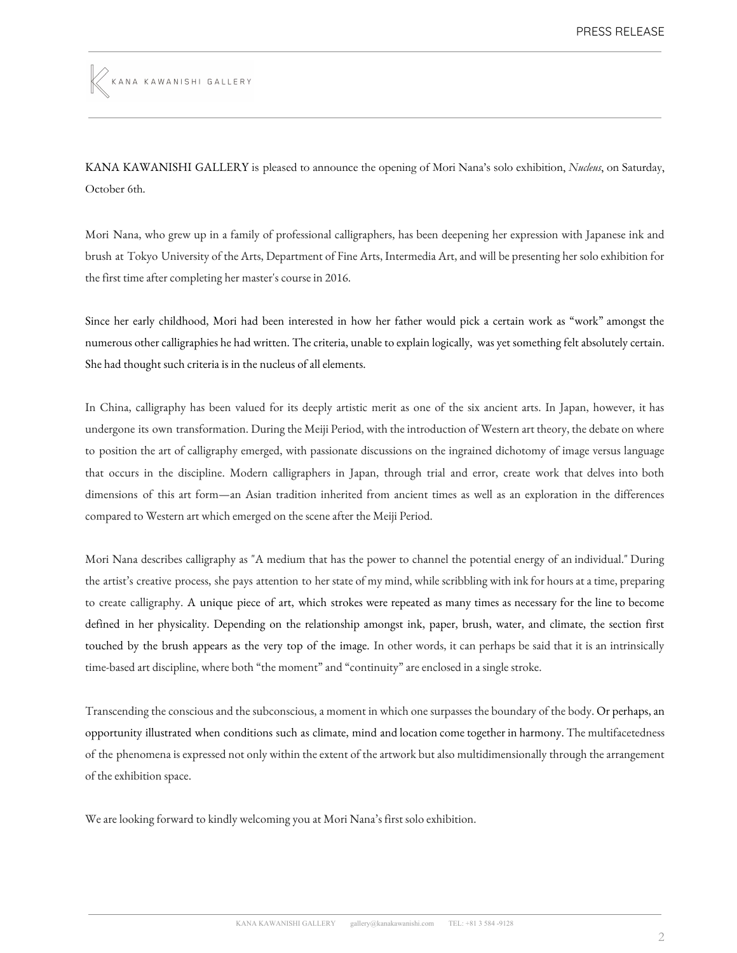KANA KAWANISHI GALLERY

KANA KAWANISHI GALLERY is pleased to announce the opening of Mori Nana's solo exhibition, *Nucleus*, on Saturday, October 6th.

Mori Nana, who grew up in a family of professional calligraphers, has been deepening her expression with Japanese ink and brush at Tokyo University of the Arts, Department of Fine Arts, Intermedia Art, and will be presenting her solo exhibition for the first time after completing her master's course in 2016.

Since her early childhood, Mori had been interested in how her father would pick a certain work as "work" amongst the numerous other calligraphies he had written. The criteria, unable to explain logically, was yet something felt absolutely certain. She had thought such criteria is in the nucleus of all elements.

In China, calligraphy has been valued for its deeply artistic merit as one of the six ancient arts. In Japan, however, it has undergone its own transformation. During the Meiji Period, with the introduction of Western art theory, the debate on where to position the art of calligraphy emerged, with passionate discussions on the ingrained dichotomy of image versus language that occurs in the discipline. Modern calligraphers in Japan, through trial and error, create work that delves into both dimensions of this art form—an Asian tradition inherited from ancient times as well as an exploration in the differences compared to Western art which emerged on the scene after the Meiji Period.

Mori Nana describes calligraphy as "A medium that has the power to channel the potential energy of an individual." During the artist's creative process, she pays attention to her state of my mind, while scribbling with ink for hours at a time, preparing to create calligraphy. A unique piece of art, which strokes were repeated as many times as necessary for the line to become defined in her physicality. Depending on the relationship amongst ink, paper, brush, water, and climate, the section first touched by the brush appears as the very top of the image. In other words, it can perhaps be said that it is an intrinsically time-based art discipline, where both "the moment" and "continuity" are enclosed in a single stroke.

Transcending the conscious and the subconscious, a moment in which one surpasses the boundary of the body. Or perhaps, an opportunity illustrated when conditions such as climate, mind and location come together in harmony. The multifacetedness of the phenomena is expressed not only within the extent of the artwork but also multidimensionally through the arrangement of the exhibition space.

We are looking forward to kindly welcoming you at Mori Nana's first solo exhibition.